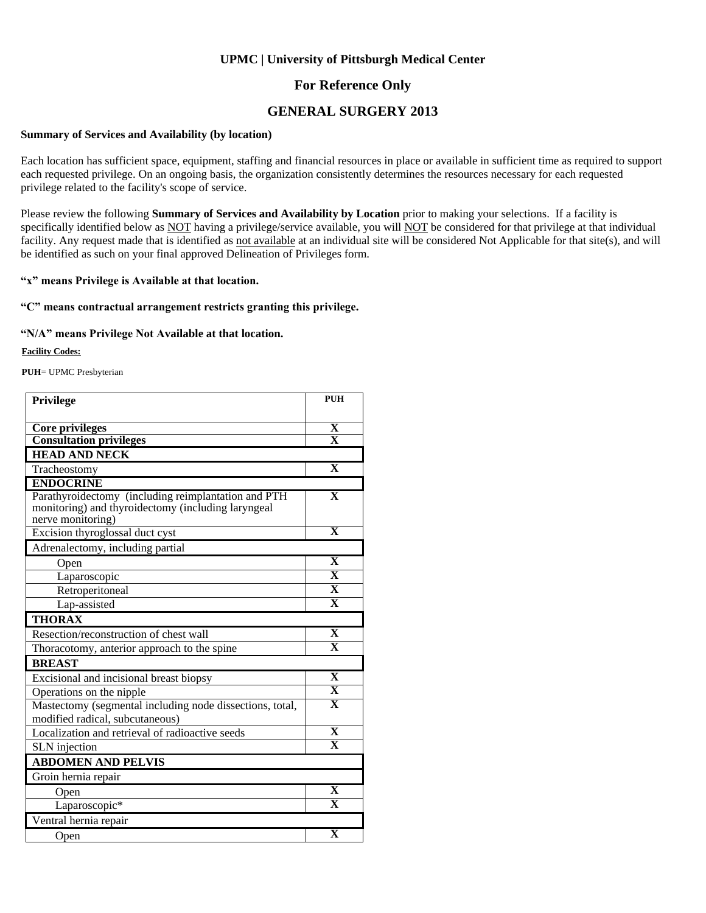### **For Reference Only**

### **GENERAL SURGERY 2013**

#### **Summary of Services and Availability (by location)**

Each location has sufficient space, equipment, staffing and financial resources in place or available in sufficient time as required to support each requested privilege. On an ongoing basis, the organization consistently determines the resources necessary for each requested privilege related to the facility's scope of service.

Please review the following **Summary of Services and Availability by Location** prior to making your selections. If a facility is specifically identified below as NOT having a privilege/service available, you will NOT be considered for that privilege at that individual facility. Any request made that is identified as not available at an individual site will be considered Not Applicable for that site(s), and will be identified as such on your final approved Delineation of Privileges form.

#### **"x" means Privilege is Available at that location.**

#### **"C" means contractual arrangement restricts granting this privilege.**

#### **"N/A" means Privilege Not Available at that location.**

#### **Facility Codes:**

**PUH**= UPMC Presbyterian

| Privilege                                                                                                                      | <b>PUH</b>              |  |
|--------------------------------------------------------------------------------------------------------------------------------|-------------------------|--|
|                                                                                                                                |                         |  |
| <b>Core privileges</b>                                                                                                         | X                       |  |
| <b>Consultation privileges</b>                                                                                                 | $\overline{\mathbf{X}}$ |  |
| <b>HEAD AND NECK</b>                                                                                                           |                         |  |
| Tracheostomy                                                                                                                   | $\overline{\mathbf{X}}$ |  |
| <b>ENDOCRINE</b>                                                                                                               |                         |  |
| Parathyroidectomy (including reimplantation and PTH<br>monitoring) and thyroidectomy (including laryngeal<br>nerve monitoring) | $\overline{\mathbf{X}}$ |  |
| Excision thyroglossal duct cyst                                                                                                | $\mathbf{X}$            |  |
| Adrenalectomy, including partial                                                                                               |                         |  |
| Open                                                                                                                           | $\mathbf{X}$            |  |
| Laparoscopic                                                                                                                   | $\overline{\mathbf{X}}$ |  |
| Retroperitoneal                                                                                                                | $\overline{\mathbf{X}}$ |  |
| Lap-assisted                                                                                                                   | $\mathbf{x}$            |  |
| <b>THORAX</b>                                                                                                                  |                         |  |
| Resection/reconstruction of chest wall                                                                                         | $\mathbf{X}$            |  |
| Thoracotomy, anterior approach to the spine                                                                                    | $\overline{\mathbf{X}}$ |  |
| <b>BREAST</b>                                                                                                                  |                         |  |
| Excisional and incisional breast biopsy                                                                                        | $\mathbf X$             |  |
| Operations on the nipple                                                                                                       | $\overline{\mathbf{X}}$ |  |
| Mastectomy (segmental including node dissections, total,<br>modified radical, subcutaneous)                                    | $\overline{\mathbf{X}}$ |  |
| Localization and retrieval of radioactive seeds                                                                                | $\overline{\mathbf{X}}$ |  |
| SLN injection                                                                                                                  | $\overline{\mathbf{x}}$ |  |
| <b>ABDOMEN AND PELVIS</b>                                                                                                      |                         |  |
| Groin hernia repair                                                                                                            |                         |  |
| Open                                                                                                                           | $\mathbf X$             |  |
| Laparoscopic*                                                                                                                  | $\overline{\mathbf{X}}$ |  |
| Ventral hernia repair                                                                                                          |                         |  |
| Open                                                                                                                           | $\overline{\textbf{X}}$ |  |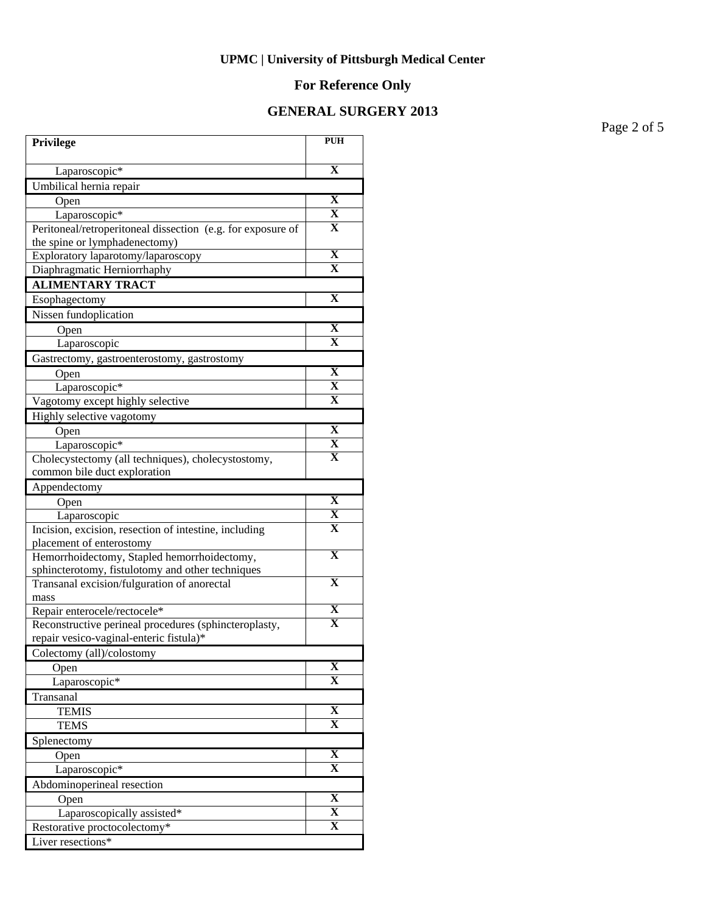# **For Reference Only**

### **GENERAL SURGERY 2013**

Page 2 of 5

| Privilege                                                                         | <b>PUH</b>              |
|-----------------------------------------------------------------------------------|-------------------------|
| Laparoscopic*                                                                     | $\mathbf X$             |
| Umbilical hernia repair                                                           |                         |
| Open                                                                              | X                       |
| Laparoscopic*                                                                     | $\mathbf X$             |
| Peritoneal/retroperitoneal dissection (e.g. for exposure of                       | X                       |
| the spine or lymphadenectomy)                                                     |                         |
| Exploratory laparotomy/laparoscopy                                                | $\mathbf X$             |
| Diaphragmatic Herniorrhaphy                                                       | X                       |
| <b>ALIMENTARY TRACT</b>                                                           |                         |
| Esophagectomy                                                                     | $\mathbf X$             |
| Nissen fundoplication                                                             |                         |
| Open                                                                              | X                       |
| Laparoscopic                                                                      | $\mathbf X$             |
| Gastrectomy, gastroenterostomy, gastrostomy                                       |                         |
| Open                                                                              | $\mathbf X$             |
| Laparoscopic*                                                                     | X                       |
| Vagotomy except highly selective                                                  | X                       |
| Highly selective vagotomy                                                         |                         |
| Open                                                                              | X                       |
| Laparoscopic*                                                                     | $\mathbf X$             |
| Cholecystectomy (all techniques), cholecystostomy,                                | $\mathbf X$             |
| common bile duct exploration                                                      |                         |
| Appendectomy                                                                      |                         |
| Open                                                                              | $\mathbf{X}$<br>X       |
| Laparoscopic                                                                      | $\mathbf X$             |
| Incision, excision, resection of intestine, including<br>placement of enterostomy |                         |
| Hemorrhoidectomy, Stapled hemorrhoidectomy,                                       | $\overline{\textbf{X}}$ |
| sphincterotomy, fistulotomy and other techniques                                  |                         |
| Transanal excision/fulguration of anorectal                                       | $\overline{\mathbf{X}}$ |
| mass                                                                              |                         |
| Repair enterocele/rectocele*                                                      | $\mathbf X$             |
| Reconstructive perineal procedures (sphincteroplasty,                             | $\overline{\mathbf{X}}$ |
| repair vesico-vaginal-enteric fistula)*                                           |                         |
| Colectomy (all)/colostomy                                                         |                         |
| Open                                                                              | $\mathbf X$             |
| Laparoscopic*                                                                     | $\overline{\mathbf{X}}$ |
| Transanal                                                                         |                         |
| <b>TEMIS</b>                                                                      | $\overline{\mathbf{X}}$ |
| <b>TEMS</b>                                                                       | $\overline{\textbf{X}}$ |
| Splenectomy                                                                       |                         |
| Open                                                                              | X                       |
| Laparoscopic*                                                                     | X                       |
| Abdominoperineal resection                                                        |                         |
| Open                                                                              | $\overline{\mathbf{X}}$ |
| Laparoscopically assisted*                                                        | $\overline{\mathbf{X}}$ |
| Restorative proctocolectomy*                                                      | $\overline{\mathbf{X}}$ |
| Liver resections*                                                                 |                         |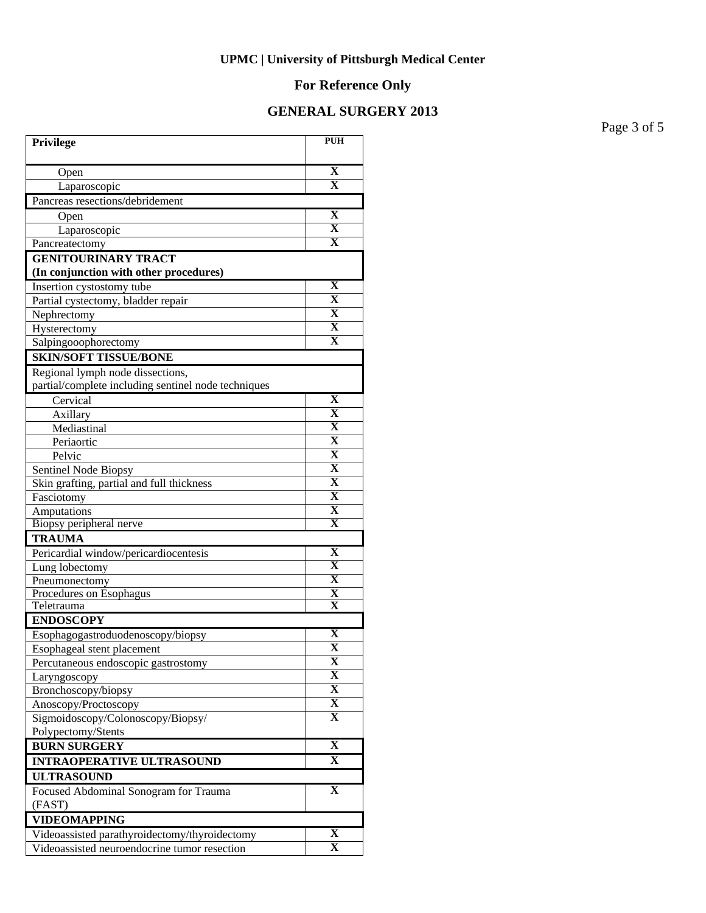# **For Reference Only**

## **GENERAL SURGERY 2013**

Page 3 of 5

| Privilege                                           | <b>PUH</b>              |
|-----------------------------------------------------|-------------------------|
| Open                                                | $\mathbf X$             |
| Laparoscopic                                        | $\overline{\mathbf{X}}$ |
| Pancreas resections/debridement                     |                         |
| Open                                                | X                       |
| Laparoscopic                                        | $\overline{\mathbf{X}}$ |
| Pancreatectomy                                      | $\overline{\mathbf{x}}$ |
| <b>GENITOURINARY TRACT</b>                          |                         |
| (In conjunction with other procedures)              |                         |
| Insertion cystostomy tube                           | X                       |
| Partial cystectomy, bladder repair                  | $\mathbf X$             |
| Nephrectomy                                         | $\mathbf{X}$            |
| Hysterectomy                                        | $\overline{\mathbf{X}}$ |
| Salpingooophorectomy                                | $\overline{\mathbf{X}}$ |
| <b>SKIN/SOFT TISSUE/BONE</b>                        |                         |
| Regional lymph node dissections,                    |                         |
| partial/complete including sentinel node techniques |                         |
| Cervical                                            | $\mathbf X$             |
| Axillary                                            | $\overline{\mathbf{X}}$ |
| Mediastinal                                         | $\overline{\mathbf{X}}$ |
| Periaortic                                          | $\overline{\mathbf{X}}$ |
| Pelvic                                              | $\overline{\mathbf{X}}$ |
| Sentinel Node Biopsy                                | $\overline{\mathbf{X}}$ |
| Skin grafting, partial and full thickness           | $\overline{\mathbf{X}}$ |
| Fasciotomy                                          | $\overline{\mathbf{X}}$ |
| Amputations                                         | $\overline{\mathbf{X}}$ |
| Biopsy peripheral nerve                             | $\overline{\mathbf{X}}$ |
| <b>TRAUMA</b>                                       |                         |
| Pericardial window/pericardiocentesis               | X                       |
| Lung lobectomy                                      | $\mathbf X$             |
| Pneumonectomy                                       | $\mathbf X$             |
| Procedures on Esophagus<br>Teletrauma               | X<br>$\mathbf x$        |
| <b>ENDOSCOPY</b>                                    |                         |
| Esophagogastroduodenoscopy/biopsy                   | $\overline{\mathbf{X}}$ |
| Esophageal stent placement                          | $\overline{\mathbf{X}}$ |
| Percutaneous endoscopic gastrostomy                 | X                       |
| Laryngoscopy                                        | X                       |
| Bronchoscopy/biopsy                                 | $\overline{\mathbf{X}}$ |
| Anoscopy/Proctoscopy                                | $\overline{\mathbf{X}}$ |
| Sigmoidoscopy/Colonoscopy/Biopsy/                   | $\mathbf X$             |
| Polypectomy/Stents                                  |                         |
| <b>BURN SURGERY</b>                                 | $\overline{\mathbf{X}}$ |
| <b>INTRAOPERATIVE ULTRASOUND</b>                    | X                       |
| <b>ULTRASOUND</b>                                   |                         |
| Focused Abdominal Sonogram for Trauma               | $\mathbf X$             |
| (FAST)                                              |                         |
| <b>VIDEOMAPPING</b>                                 |                         |
| Videoassisted parathyroidectomy/thyroidectomy       | $\mathbf X$             |
| Videoassisted neuroendocrine tumor resection        | $\overline{\mathbf{X}}$ |
|                                                     |                         |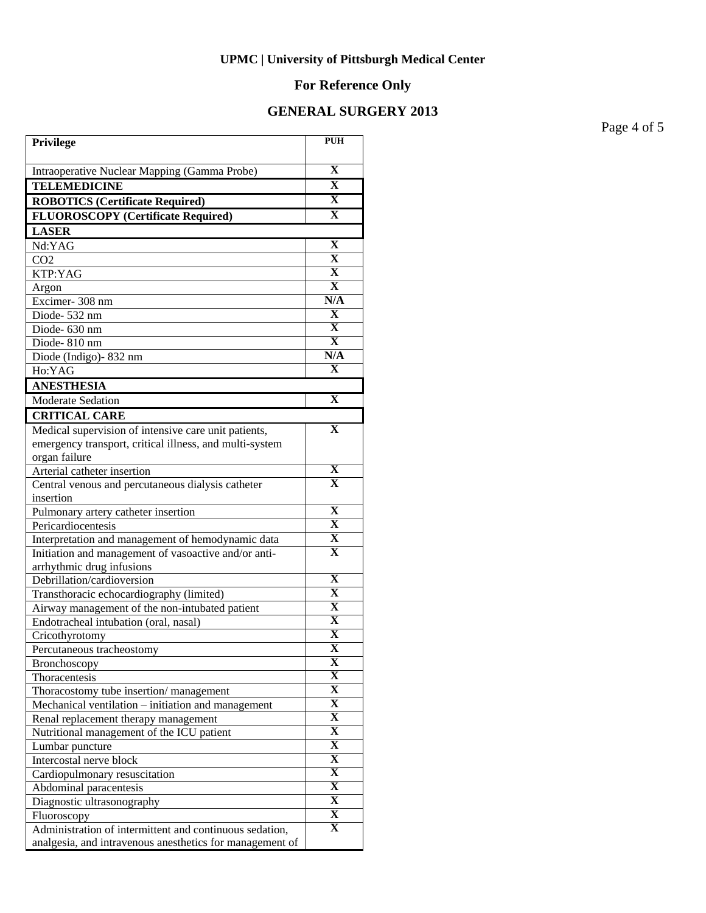# **For Reference Only**

## **GENERAL SURGERY 2013**

Page 4 of 5

| Privilege                                                                                    | <b>PUH</b>                   |
|----------------------------------------------------------------------------------------------|------------------------------|
| Intraoperative Nuclear Mapping (Gamma Probe)                                                 | $\overline{\mathbf{X}}$      |
| <b>TELEMEDICINE</b>                                                                          | $\mathbf X$                  |
| <b>ROBOTICS (Certificate Required)</b>                                                       | $\overline{\mathbf{X}}$      |
| <b>FLUOROSCOPY</b> (Certificate Required)                                                    | $\overline{\mathbf{X}}$      |
| <b>LASER</b>                                                                                 |                              |
| Nd:YAG                                                                                       | $\overline{\mathbf{X}}$      |
| CO <sub>2</sub>                                                                              | $\overline{\mathbf{X}}$      |
| KTP:YAG                                                                                      | $\overline{\mathbf{X}}$      |
| Argon                                                                                        | $\overline{\mathbf{X}}$      |
| Excimer-308 nm                                                                               | N/A                          |
| Diode-532 nm                                                                                 | X                            |
| Diode- 630 nm                                                                                | $\overline{\mathbf{X}}$      |
| Diode-810 nm                                                                                 | $\overline{\mathbf{X}}$      |
| Diode (Indigo) - 832 nm                                                                      | N/A                          |
| Ho:YAG                                                                                       | $\mathbf x$                  |
| <b>ANESTHESIA</b>                                                                            |                              |
| Moderate Sedation                                                                            | $\mathbf X$                  |
| <b>CRITICAL CARE</b>                                                                         |                              |
| Medical supervision of intensive care unit patients,                                         | $\mathbf X$                  |
| emergency transport, critical illness, and multi-system                                      |                              |
| organ failure                                                                                |                              |
| Arterial catheter insertion                                                                  | X                            |
| Central venous and percutaneous dialysis catheter                                            | $\overline{\textbf{X}}$      |
| insertion                                                                                    |                              |
| Pulmonary artery catheter insertion                                                          | $\mathbf X$                  |
| Pericardiocentesis                                                                           | $\overline{\mathbf{X}}$      |
| Interpretation and management of hemodynamic data                                            | $\overline{\mathbf{X}}$      |
| Initiation and management of vasoactive and/or anti-                                         | $\mathbf X$                  |
| arrhythmic drug infusions                                                                    |                              |
| Debrillation/cardioversion                                                                   | $\overline{\mathbf{X}}$      |
| Transthoracic echocardiography (limited)                                                     | $\overline{\mathbf{X}}$      |
| Airway management of the non-intubated patient                                               | $\overline{\mathbf{X}}$      |
| Endotracheal intubation (oral, nasal)                                                        | $\overline{\mathbf{X}}$      |
| Cricothyrotomy                                                                               | $\overline{\textbf{X}}$      |
| Percutaneous tracheostomy                                                                    | $\overline{\mathbf{X}}$<br>X |
| Bronchoscopy                                                                                 | X                            |
| Thoracentesis                                                                                | $\overline{\mathbf{X}}$      |
| Thoracostomy tube insertion/management<br>Mechanical ventilation - initiation and management | $\overline{\mathbf{X}}$      |
| Renal replacement therapy management                                                         | $\overline{\mathbf{X}}$      |
| Nutritional management of the ICU patient                                                    | $\overline{\mathbf{X}}$      |
| Lumbar puncture                                                                              | $\overline{\mathbf{X}}$      |
| Intercostal nerve block                                                                      | $\overline{\mathbf{X}}$      |
| Cardiopulmonary resuscitation                                                                | $\overline{\mathbf{X}}$      |
| Abdominal paracentesis                                                                       | $\overline{\mathbf{X}}$      |
| Diagnostic ultrasonography                                                                   | $\overline{\mathbf{X}}$      |
| Fluoroscopy                                                                                  | X                            |
| Administration of intermittent and continuous sedation,                                      | $\overline{\mathbf{X}}$      |
| analgesia, and intravenous anesthetics for management of                                     |                              |